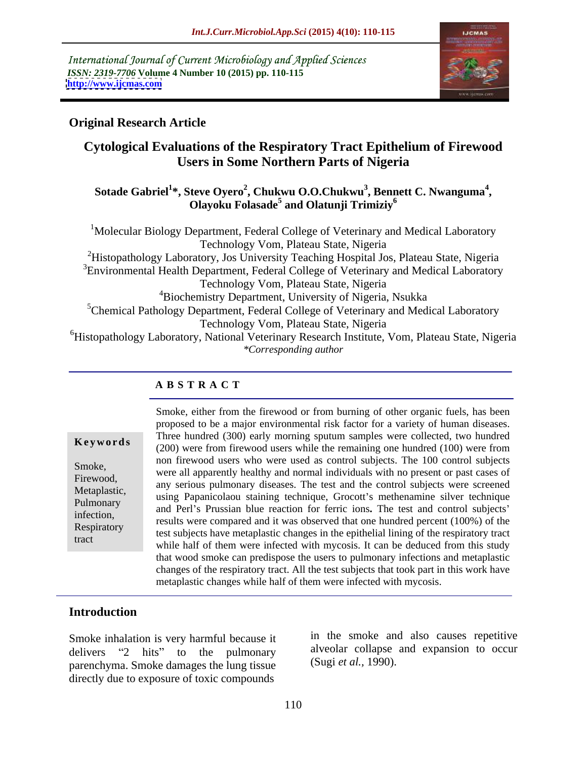International Journal of Current Microbiology and Applied Sciences *ISSN: 2319-7706* **Volume 4 Number 10 (2015) pp. 110-115 <http://www.ijcmas.com>**



# **Original Research Article**

# **Cytological Evaluations of the Respiratory Tract Epithelium of Firewood Users in Some Northern Parts of Nigeria**

# **Sotade Gabriel1 \*, Steve Oyero<sup>2</sup> , Chukwu O.O.Chukwu<sup>3</sup> , Bennett C. Nwanguma<sup>4</sup> , Olayoku Folasade5 and Olatunji Trimiziy<sup>6</sup>**

<sup>1</sup>Molecular Biology Department, Federal College of Veterinary and Medical Laboratory Technology Vom, Plateau State, Nigeria <sup>2</sup>Histopathology Laboratory, Jos University Teaching Hospital Jos, Plateau State, Nigeria <sup>3</sup>Environmental Health Department, Federal College of Veterinary and Medical Laboratory Technology Vom, Plateau State, Nigeria 4Biochemistry Department, University of Nigeria, Nsukka <sup>5</sup>Chemical Pathology Department, Federal College of Veterinary and Medical Laboratory Technology Vom, Plateau State, Nigeria <sup>6</sup>Histopathology Laboratory, National Veterinary Research Institute, Vom, Plateau State, Nigeria *\*Corresponding author*

# **A B S T R A C T**

tract

Smoke, either from the firewood or from burning of other organic fuels, has been proposed to be a major environmental risk factor for a variety of human diseases. Three hundred (300) early morning sputum samples were collected, two hundred **Keywords** (200) were from firewood users while the remaining one hundred (100) were from non firewood users who were used as control subjects. The 100 control subjects Smoke,<br>Einewood was all apparently healthy and normal individuals with no present or past cases of Firewood,<br>Meteologie any serious pulmonary diseases. The test and the control subjects were screened Metaplastic,<br>
using Papanicolaou staining technique, Grocott's methenamine silver technique Pulmonary<br>
and Perl's Prussian blue reaction for ferric ions. The test and control subjects' infection,<br>
results were compared and it was observed that one hundred percent (100%) of the Respiratory<br>test subjects have metaplastic changes in the epithelial lining of the respiratory tract while half of them were infected with mycosis. It can be deduced from this study that wood smoke can predispose the users to pulmonary infections and metaplastic changes of the respiratory tract. All the test subjects that took part in this work have metaplastic changes while half of them were infected with mycosis.

# **Introduction**

Smoke inhalation is very harmful because it delivers "2 hits" to the pulmonary alveolar collapse and expansion to occur parenchyma. Smoke damages the lung tissue directly due to exposure of toxic compounds

in the smoke and also causes repetitive (Sugi *et al.,* 1990).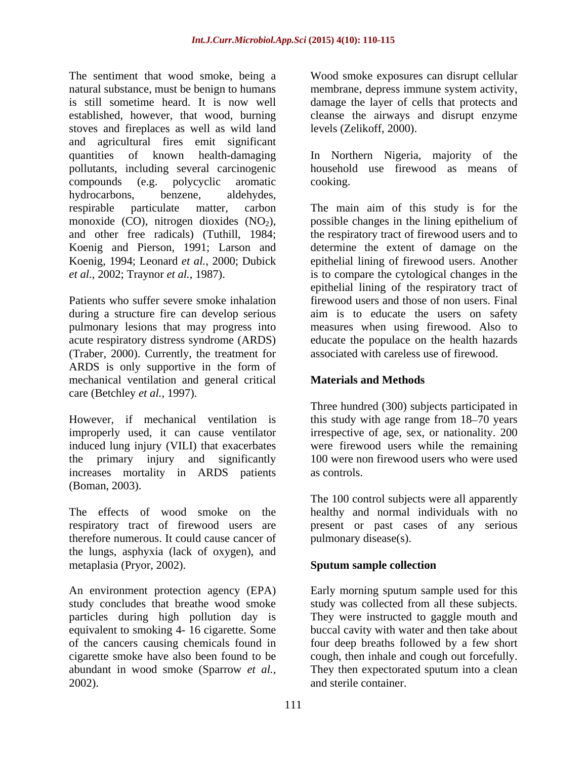The sentiment that wood smoke, being a Wood smoke exposures can disrupt cellular natural substance, must be benign to humans membrane, depress immune system activity, is still sometime heard. It is now well damage the layer of cells that protects and established, however, that wood, burning cleanse the airways and disrupt enzyme stoves and fireplaces as well as wild land and agricultural fires emit significant quantities of known health-damaging In Northern Nigeria, majority of the pollutants, including several carcinogenic compounds (e.g. polycyclic aromatic hydrocarbons, benzene, aldehydes, respirable particulate matter, carbon The main aim of this study is for the monoxide  $(CO)$ , nitrogen dioxides  $(NO<sub>2</sub>)$ , possible changes in the lining epithelium of and other free radicals) (Tuthill, 1984; the respiratory tract of firewood users and to Koenig and Pierson, 1991; Larson and Koenig, 1994; Leonard *et al.,* 2000; Dubick epithelial lining of firewood users. Another *et al.,* 2002; Traynor *et al.,* 1987). is to compare the cytological changes in the

(Traber, 2000). Currently, the treatment for ARDS is only supportive in the form of mechanical ventilation and general critical **Materials and Methods** care (Betchley *et al.,* 1997).

However, if mechanical ventilation is this study with age range from 18–70 years improperly used, it can cause ventilator irrespective of age, sex, or nationality. 200 induced lung injury (VILI) that exacerbates the primary injury and significantly increases mortality in ARDS patients as controls. (Boman, 2003).

The effects of wood smoke on the healthy and normal individuals with no respiratory tract of firewood users are present or past cases of any serious therefore numerous. It could cause cancer of the lungs, asphyxia (lack of oxygen), and metaplasia (Pryor, 2002). Sputum sample collection

abundant in wood smoke (Sparrow *et al.,* 2002). and sterile container.

levels (Zelikoff, 2000).

household use firewood as means of cooking.

Patients who suffer severe smoke inhalation firewood users and those of non users. Final during a structure fire can develop serious aim is to educate the users on safety pulmonary lesions that may progress into measures when using firewood. Also to acute respiratory distress syndrome (ARDS) educate the populace on the health hazards determine the extent of damage on the epithelial lining of the respiratory tract of associated with careless use of firewood.

# **Materials and Methods**

Three hundred (300) subjects participated in were firewood users while the remaining 100 were non firewood users who were used as controls.

The 100 control subjects were all apparently pulmonary disease(s).

# **Sputum sample collection**

An environment protection agency (EPA) Early morning sputum sample used for this study concludes that breathe wood smoke study was collected from all these subjects. particles during high pollution day is They were instructed to gaggle mouth and equivalent to smoking 4- 16 cigarette. Some buccal cavity with water and then take about of the cancers causing chemicals found in four deep breaths followed by a few short cigarette smoke have also been found to be cough, then inhale and cough out forcefully. They then expectorated sputum into a clean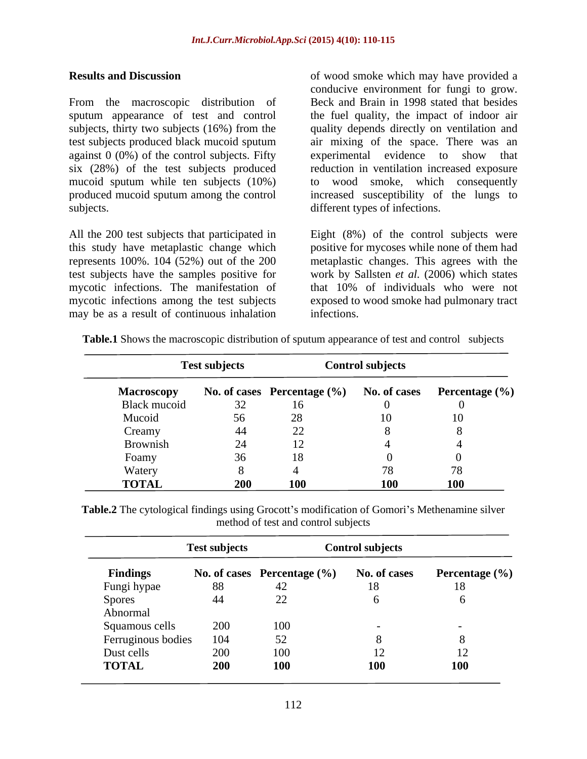From the macroscopic distribution of sputum appearance of test and control subjects, thirty two subjects (16%) from the quality depends directly on ventilation and test subjects produced black mucoid sputum air mixing of the space. There was an against 0 (0%) of the control subjects. Fifty experimental evidence to show that six (28%) of the test subjects produced reduction in ventilation increased exposure mucoid sputum while ten subjects (10%) produced mucoid sputum among the control increased susceptibility of the lungs to subjects. different types of infections.

All the 200 test subjects that participated in mycotic infections. The manifestation of that 10% of individuals who were not may be as a result of continuous inhalation infections.

**Results and Discussion** of wood smoke which may have provided a conducive environment for fungi to grow. Beck and Brain in 1998 stated that besides the fuel quality, the impact of indoor air wood smoke, which consequently

this study have metaplastic change which positive for mycoses while none of them had represents 100%. 104 (52%) out of the 200 metaplastic changes. This agrees with the test subjects have the samples positive for work by Sallsten *et al.* (2006) which states mycotic infections among the test subjects exposed to wood smoke had pulmonary tract Eight (8%) of the control subjects were that 10% of individuals who were not infections.

| <b>Table.1</b> Shows the macroscopic distribution of sputum appearance of test and control<br>subjects |  |
|--------------------------------------------------------------------------------------------------------|--|
|--------------------------------------------------------------------------------------------------------|--|

|                   | <b>Test subjects</b> |                                 | <b>Control subjects</b> |                |
|-------------------|----------------------|---------------------------------|-------------------------|----------------|
| <b>Macroscopy</b> |                      | No. of cases Percentage $(\% )$ | No. of cases            | Percentage (%) |
| Black mucoid      | 32                   | 16                              |                         |                |
| Mucoid            | 56                   | 28                              |                         |                |
| Creamy            | 44                   | 22                              |                         |                |
| Brownish          |                      | 12                              |                         |                |
| Foamy             |                      | 18                              |                         |                |
| Watery            |                      |                                 |                         |                |
| <b>TOTAL</b>      | 200                  | 100                             | 100                     | 100            |

Table.2 The cytological findings using Grocott's modification of Gomori's Methenamine silver method of test and control subjects

|                    | <b>Test subjects</b> |                                 | <b>Control subjects</b> |                          |
|--------------------|----------------------|---------------------------------|-------------------------|--------------------------|
| <b>Findings</b>    |                      | No. of cases Percentage $(\% )$ | No. of cases            | Percentage (%)           |
| Fungi hypae        | 88                   | 42                              | 18                      | 18                       |
| Spores             | 44                   | 22                              |                         |                          |
| Abnormal           |                      |                                 |                         |                          |
| Squamous cells     | 200                  | 100                             |                         | $\overline{\phantom{0}}$ |
| Ferruginous bodies | 104                  | 52                              |                         |                          |
| Dust cells         | 200                  | 100                             | $\overline{1}$          | $\perp$                  |
| <b>TOTAL</b>       | <b>200</b>           | <b>100</b>                      | <b>100</b>              | <b>100</b>               |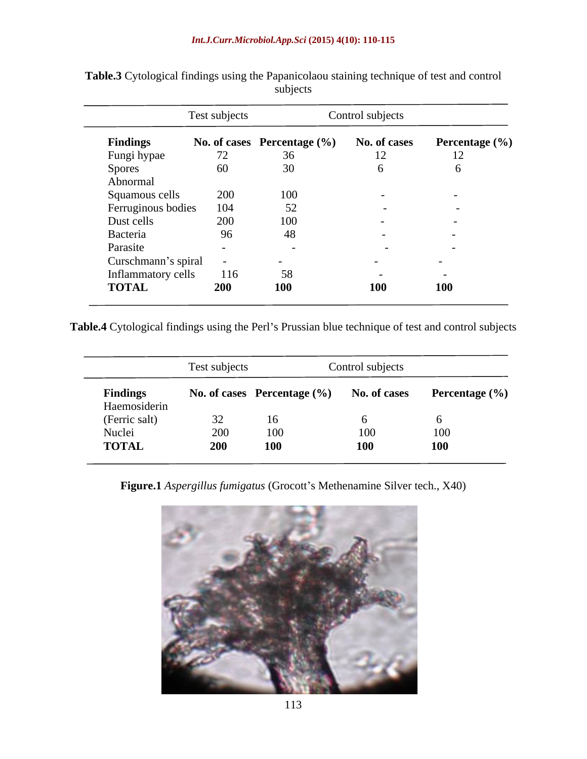|                     | Test subjects            |                             | Control subjects         |                          |
|---------------------|--------------------------|-----------------------------|--------------------------|--------------------------|
| <b>Findings</b>     |                          | No. of cases Percentage (%) | No. of cases             | Percentage (%)           |
| Fungi hypae         | 72                       | 36                          | 12                       | 12<br>$\perp$            |
| <b>Spores</b>       | 60                       | 30                          |                          | h                        |
| Abnormal            |                          |                             |                          |                          |
| Squamous cells      | 200                      | 100                         | $\overline{\phantom{a}}$ | $-$                      |
| Ferruginous bodies  | 104                      | 52                          | $\sim$                   | $\sim$                   |
| Dust cells          | 200                      | 100                         | $\overline{\phantom{0}}$ | $\overline{\phantom{0}}$ |
| Bacteria            | 96                       | 48                          | $\overline{\phantom{0}}$ | $\overline{\phantom{a}}$ |
| Parasite            | $\overline{\phantom{0}}$ | $\sim$ $\sim$               | $\overline{\phantom{0}}$ | $\overline{\phantom{0}}$ |
| Curschmann's spiral |                          | $\sim$                      | $\overline{\phantom{0}}$ | $\overline{\phantom{0}}$ |
| Inflammatory cells  | 116                      | 58                          | $\overline{\phantom{0}}$ | $\overline{\phantom{0}}$ |
| <b>TOTAL</b>        | <b>200</b>               | 100                         | <b>100</b>               | <b>100</b>               |

**Table.3** Cytological findings using the Papanicolaou staining technique of test and control subjects subjects and the state of the state of the state of the state of the state of the state of the state of the state of the state of the state of the state of the state of the state of the state of the state of the state of t

Table.4 Cytological findings using the Perl's Prussian blue technique of test and control subjects

|                                 | Test subjects |                                 | Control subjects         |                |
|---------------------------------|---------------|---------------------------------|--------------------------|----------------|
| <b>Findings</b><br>Haemosiderin |               | No. of cases Percentage $(\% )$ | No. of cases             | Percentage (%) |
| (Ferric salt)                   | ے ت           | 16                              |                          |                |
| Nuclei                          | 200           | 100                             | $\sim$<br>1 <sub>U</sub> | 100            |
| <b>TOTAL</b>                    | 200           | 100                             | 100<br>TVA               | <b>100</b>     |

Figure.1 *Aspergillus fumigatus* (Grocott's Methenamine Silver tech., X40)

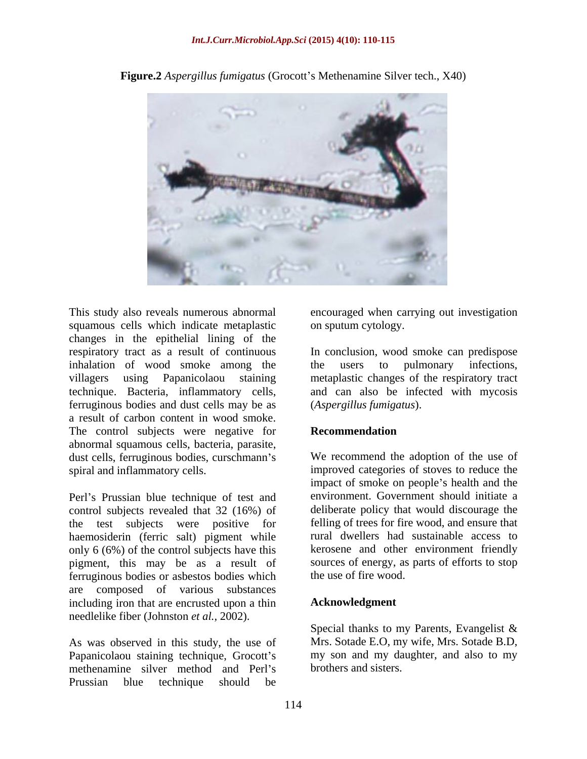

**Figure.2** *Aspergillus fumigatus* (Grocott's Methenamine Silver tech., X40)

This study also reveals numerous abnormal encouraged when carrying out investigation squamous cells which indicate metaplastic changes in the epithelial lining of the respiratory tract as a result of continuous In conclusion, wood smoke can predispose inhalation of wood smoke among the the users to pulmonary infections, villagers using Papanicolaou staining metaplastic changes of the respiratory tract technique. Bacteria, inflammatory cells, and can also be infected with mycosis ferruginous bodies and dust cells may be as a result of carbon content in wood smoke. The control subjects were negative for **Recommendation** abnormal squamous cells, bacteria, parasite, dust cells, ferruginous bodies, curschmann's<br>spiral and inflammatory cells.

Perl's Prussian blue technique of test and control subjects revealed that 32 (16%) of the test subjects were positive for haemosiderin (ferric salt) pigment while only 6 (6%) of the control subjects have this pigment, this may be as a result of ferruginous bodies or asbestos bodies which are composed of various substances including iron that are encrusted upon a thin needlelike fiber (Johnston *et al.,* 2002).

As was observed in this study, the use of Papanicolaou staining technique, Grocott's methenamine silver method and Perl's Prussian blue technique should be

on sputum cytology.

the users to pulmonary infections, (*Aspergillus fumigatus*).

# **Recommendation**

spiral and inflammatory cells. improved categories of stoves to reduce the We recommend the adoption of the use of impact of smoke on people's health and the environment. Government should initiate a deliberate policy that would discourage the felling of trees for fire wood, and ensure that rural dwellers had sustainable access to kerosene and other environment friendly sources of energy, as parts of efforts to stop the use of fire wood.

### **Acknowledgment**

Special thanks to my Parents, Evangelist & Mrs. Sotade E.O, my wife, Mrs. Sotade B.D, my son and my daughter, and also to my brothers and sisters.